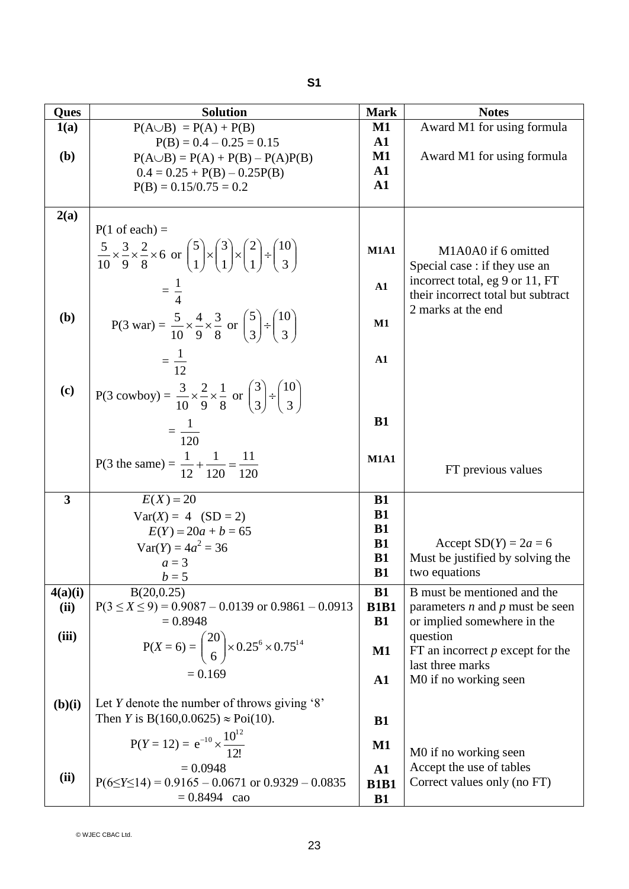| Ques                    | <b>Solution</b>                                                                                                                          | <b>Mark</b>              | <b>Notes</b>                                                |
|-------------------------|------------------------------------------------------------------------------------------------------------------------------------------|--------------------------|-------------------------------------------------------------|
| 1(a)                    | $P(A \cup B) = P(A) + P(B)$                                                                                                              | M1                       | Award M1 for using formula                                  |
|                         | $P(B) = 0.4 - 0.25 = 0.15$                                                                                                               | ${\bf A1}$               |                                                             |
| (b)                     | $P(A \cup B) = P(A) + P(B) - P(A)P(B)$                                                                                                   | $\mathbf{M1}$            | Award M1 for using formula                                  |
|                         | $0.4 = 0.25 + P(B) - 0.25P(B)$                                                                                                           | ${\bf A1}$               |                                                             |
|                         | $P(B) = 0.15/0.75 = 0.2$                                                                                                                 | $\mathbf{A1}$            |                                                             |
|                         |                                                                                                                                          |                          |                                                             |
| 2(a)                    |                                                                                                                                          |                          |                                                             |
|                         | $P(1 \text{ of each}) =$                                                                                                                 |                          |                                                             |
|                         | $rac{5}{10} \times \frac{3}{9} \times \frac{2}{8} \times 6$ or $\binom{5}{1} \times \binom{3}{1} \times \binom{2}{1} \div \binom{10}{3}$ | <b>M1A1</b>              | M1A0A0 if 6 omitted                                         |
|                         |                                                                                                                                          |                          | Special case : if they use an                               |
|                         |                                                                                                                                          | ${\bf A1}$               | incorrect total, eg 9 or 11, FT                             |
|                         | $=\frac{1}{4}$                                                                                                                           |                          | their incorrect total but subtract                          |
| ( <b>b</b> )            |                                                                                                                                          |                          | 2 marks at the end                                          |
|                         | P(3 war) = $\frac{5}{10} \times \frac{4}{9} \times \frac{3}{8}$ or $\binom{5}{3} \div \binom{10}{3}$                                     | $\mathbf{M1}$            |                                                             |
|                         |                                                                                                                                          |                          |                                                             |
|                         | $=\frac{1}{12}$                                                                                                                          | ${\bf A1}$               |                                                             |
|                         |                                                                                                                                          |                          |                                                             |
| (c)                     | P(3 cowboy) = $\frac{3}{10} \times \frac{2}{9} \times \frac{1}{8}$ or $\binom{3}{3} \div \binom{10}{3}$                                  |                          |                                                             |
|                         |                                                                                                                                          |                          |                                                             |
|                         |                                                                                                                                          | <b>B1</b>                |                                                             |
|                         | $=\frac{1}{120}$                                                                                                                         |                          |                                                             |
|                         |                                                                                                                                          | <b>M1A1</b>              |                                                             |
|                         | P(3 the same) = $\frac{1}{12} + \frac{1}{120} = \frac{11}{120}$                                                                          |                          | FT previous values                                          |
|                         |                                                                                                                                          |                          |                                                             |
| $\overline{\mathbf{3}}$ | $E(X) = 20$                                                                                                                              | <b>B1</b>                |                                                             |
|                         | $Var(X) = 4$ (SD = 2)                                                                                                                    | <b>B1</b>                |                                                             |
|                         | $E(Y) = 20a + b = 65$                                                                                                                    | <b>B1</b>                |                                                             |
|                         | $Var(Y) = 4a^2 = 36$                                                                                                                     | <b>B1</b><br><b>B1</b>   | Accept $SD(Y) = 2a = 6$<br>Must be justified by solving the |
|                         | $a=3$                                                                                                                                    | <b>B1</b>                | two equations                                               |
|                         | $b=5$                                                                                                                                    |                          |                                                             |
| 4(a)(i)                 | B(20, 0.25)                                                                                                                              | <b>B1</b>                | B must be mentioned and the                                 |
| (ii)                    | $P(3 \le X \le 9) = 0.9087 - 0.0139$ or $0.9861 - 0.0913$<br>$= 0.8948$                                                                  | <b>B1B1</b><br><b>B1</b> | parameters $n$ and $p$ must be seen                         |
| (iii)                   |                                                                                                                                          |                          | or implied somewhere in the<br>question                     |
|                         | $P(X = 6) = {20 \choose 6} \times 0.25^{6} \times 0.75^{14}$                                                                             | $\mathbf{M1}$            | FT an incorrect $p$ except for the                          |
|                         |                                                                                                                                          |                          | last three marks                                            |
|                         | $= 0.169$                                                                                                                                | ${\bf A1}$               | M0 if no working seen                                       |
|                         |                                                                                                                                          |                          |                                                             |
| (b)(i)                  | Let Y denote the number of throws giving $\mathcal{S}'$                                                                                  |                          |                                                             |
|                         | Then <i>Y</i> is B(160,0.0625) $\approx$ Poi(10).                                                                                        | <b>B1</b>                |                                                             |
|                         | $P(Y = 12) = e^{-10} \times \frac{10^{12}}{12!}$<br>= 0.0948                                                                             | $\mathbf{M1}$            |                                                             |
|                         |                                                                                                                                          |                          | M0 if no working seen                                       |
| (ii)                    |                                                                                                                                          | $\mathbf{A1}$            | Accept the use of tables                                    |
|                         | $P(6 \le Y \le 14) = 0.9165 - 0.0671$ or $0.9329 - 0.0835$                                                                               | <b>B1B1</b>              | Correct values only (no FT)                                 |
|                         | $= 0.8494$ cao                                                                                                                           | <b>B1</b>                |                                                             |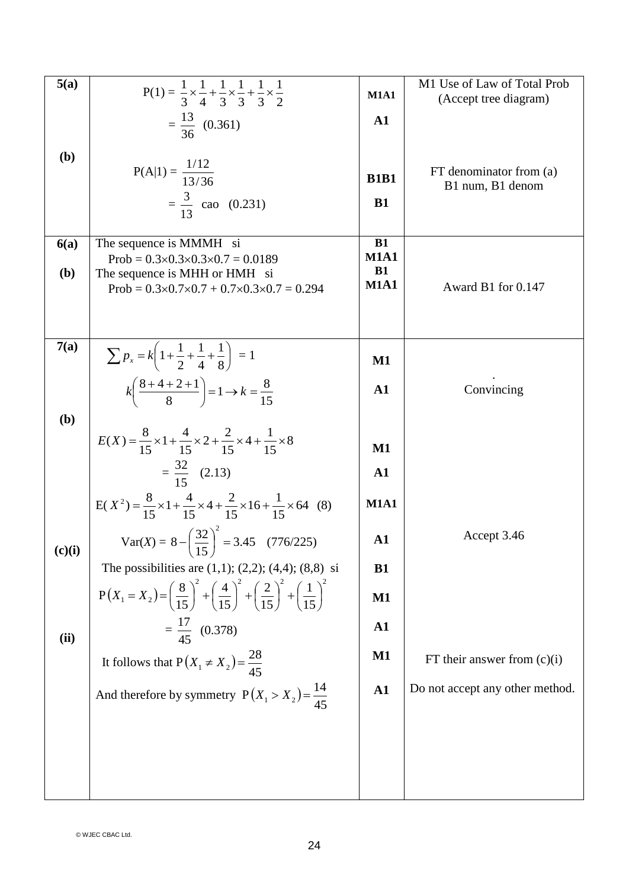| 5(a)         | $P(1) = \frac{1}{3} \times \frac{1}{4} + \frac{1}{3} \times \frac{1}{3} + \frac{1}{3} \times \frac{1}{2}$                              | <b>M1A1</b>              | M1 Use of Law of Total Prob<br>(Accept tree diagram) |
|--------------|----------------------------------------------------------------------------------------------------------------------------------------|--------------------------|------------------------------------------------------|
|              | $=\frac{13}{36}$ (0.361)                                                                                                               | $\mathbf{A1}$            |                                                      |
| (b)          |                                                                                                                                        |                          |                                                      |
|              | $P(A 1) = \frac{1/12}{13/36}$                                                                                                          | <b>B1B1</b>              | FT denominator from (a)<br>B1 num, B1 denom          |
|              | $=\frac{3}{12}$ cao (0.231)                                                                                                            | <b>B1</b>                |                                                      |
| 6(a)         | The sequence is MMMH si<br>Prob = $0.3 \times 0.3 \times 0.3 \times 0.7 = 0.0189$                                                      | <b>B1</b><br><b>M1A1</b> |                                                      |
| <b>(b)</b>   | The sequence is MHH or HMH si<br>Prob = $0.3 \times 0.7 \times 0.7 + 0.7 \times 0.3 \times 0.7 = 0.294$                                | <b>B1</b><br><b>M1A1</b> | Award B1 for 0.147                                   |
|              |                                                                                                                                        |                          |                                                      |
|              |                                                                                                                                        |                          |                                                      |
| 7(a)         | $\sum p_x = k \left( 1 + \frac{1}{2} + \frac{1}{4} + \frac{1}{8} \right) = 1$                                                          | $\mathbf{M1}$            |                                                      |
|              | $k\left(\frac{8+4+2+1}{8}\right) = 1 \rightarrow k = \frac{8}{15}$                                                                     | $\mathbf{A1}$            | Convincing                                           |
| ( <b>b</b> ) |                                                                                                                                        |                          |                                                      |
|              | $E(X) = \frac{8}{15} \times 1 + \frac{4}{15} \times 2 + \frac{2}{15} \times 4 + \frac{1}{15} \times 8$                                 | $\mathbf{M1}$            |                                                      |
|              | $=\frac{32}{15}$ (2.13)                                                                                                                | $\mathbf{A1}$            |                                                      |
|              | $E(X^2) = \frac{8}{15} \times 1 + \frac{4}{15} \times 4 + \frac{2}{15} \times 16 + \frac{1}{15} \times 64$ (8)                         | <b>M1A1</b>              |                                                      |
| (c)(i)       | Var(X) = $8 - \left(\frac{32}{15}\right)^2 = 3.45$ (776/225)                                                                           | ${\bf A1}$               | Accept 3.46                                          |
|              | The possibilities are $(1,1)$ ; $(2,2)$ ; $(4,4)$ ; $(8,8)$ si                                                                         | <b>B1</b>                |                                                      |
|              | $P(X_1 = X_2) = \left(\frac{8}{15}\right)^2 + \left(\frac{4}{15}\right)^2 + \left(\frac{2}{15}\right)^2 + \left(\frac{1}{15}\right)^2$ | M1                       |                                                      |
| (ii)         | $=\frac{17}{45}$ (0.378)                                                                                                               | ${\bf A1}$               |                                                      |
|              | It follows that $P(X_1 \neq X_2) = \frac{28}{45}$                                                                                      | $\mathbf{M1}$            | FT their answer from $(c)(i)$                        |
|              | And therefore by symmetry $P(X_1 > X_2) = \frac{14}{45}$                                                                               | ${\bf A1}$               | Do not accept any other method.                      |
|              |                                                                                                                                        |                          |                                                      |
|              |                                                                                                                                        |                          |                                                      |
|              |                                                                                                                                        |                          |                                                      |